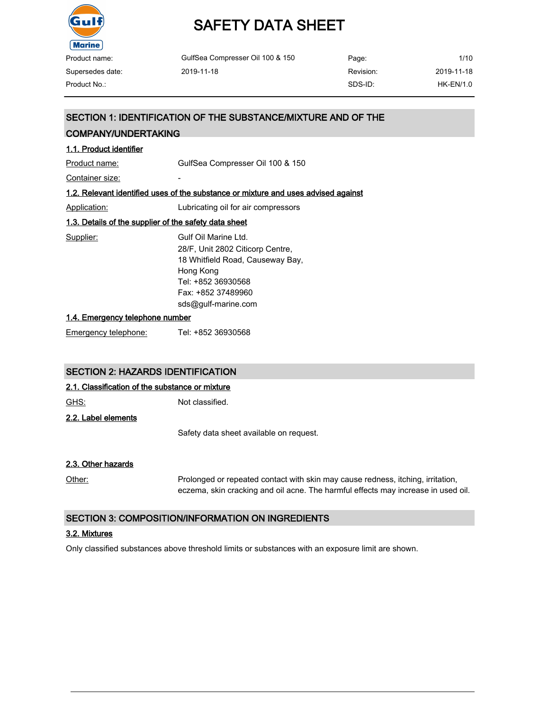

| Product name:    | GulfSea Compresser Oil 100 & 150 | Page:     | 1/10        |
|------------------|----------------------------------|-----------|-------------|
| Supersedes date: | 2019-11-18                       | Revision: | 2019-11-18  |
| Product No.:-    |                                  | SDS-ID:   | $HK-EN/1.0$ |

# SECTION 1: IDENTIFICATION OF THE SUBSTANCE/MIXTURE AND OF THE

# COMPANY/UNDERTAKING

# 1.1. Product identifier

Product name: GulfSea Compresser Oil 100 & 150

Container size:

#### 1.2. Relevant identified uses of the substance or mixture and uses advised against

Application: Lubricating oil for air compressors

# 1.3. Details of the supplier of the safety data sheet

Supplier: Gulf Oil Marine Ltd. 28/F, Unit 2802 Citicorp Centre, 18 Whitfield Road, Causeway Bay, Hong Kong Tel: +852 36930568 Fax: +852 37489960 sds@gulf-marine.com

#### 1.4. Emergency telephone number

Emergency telephone: Tel: +852 36930568

# SECTION 2: HAZARDS IDENTIFICATION

# 2.1. Classification of the substance or mixture

GHS: Not classified. 2.2. Label elements

Safety data sheet available on request.

# 2.3. Other hazards

Other: Prolonged or repeated contact with skin may cause redness, itching, irritation, eczema, skin cracking and oil acne. The harmful effects may increase in used oil.

# SECTION 3: COMPOSITION/INFORMATION ON INGREDIENTS

# 3.2. Mixtures

Only classified substances above threshold limits or substances with an exposure limit are shown.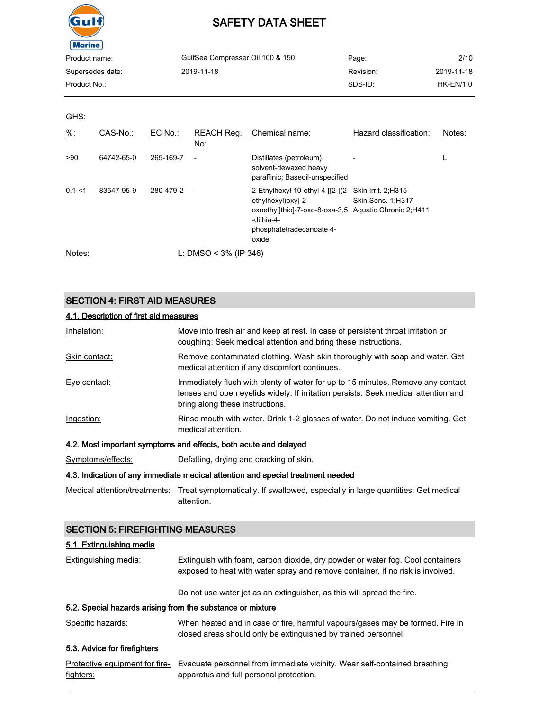

| GulfSea Compresser Oil 100 & 150 | Page:     | 2/10        |
|----------------------------------|-----------|-------------|
| 2019-11-18                       | Revision: | 2019-11-18  |
|                                  | SDS-ID:   | $HK-EN/1.0$ |
|                                  |           |             |

GHS:

| $\frac{9}{6}$ : | CAS-No.:   | EC No.:   | REACH Req.<br>No:        | Chemical name:                                                                                                                                                                        | Hazard classification: | Notes: |
|-----------------|------------|-----------|--------------------------|---------------------------------------------------------------------------------------------------------------------------------------------------------------------------------------|------------------------|--------|
| >90             | 64742-65-0 | 265-169-7 | $\overline{\phantom{a}}$ | Distillates (petroleum),<br>solvent-dewaxed heavy<br>paraffinic; Baseoil-unspecified                                                                                                  |                        |        |
| $0.1 - 51$      | 83547-95-9 | 280-479-2 |                          | 2-Ethylhexyl 10-ethyl-4-[[2-[(2- Skin Irrit. 2;H315<br>ethylhexyl)oxy]-2-<br>oxoethyl]thio]-7-oxo-8-oxa-3.5 Aguatic Chronic 2:H411<br>-dithia-4-<br>phosphatetradecanoate 4-<br>oxide | Skin Sens. 1;H317      |        |
| Notes:          |            |           | L: DMSO < $3\%$ (IP 346) |                                                                                                                                                                                       |                        |        |

# SECTION 4: FIRST AID MEASURES

# 4.1. Description of first aid measures

| Inhalation:       | Move into fresh air and keep at rest. In case of persistent throat irritation or<br>coughing: Seek medical attention and bring these instructions.                                                       |
|-------------------|----------------------------------------------------------------------------------------------------------------------------------------------------------------------------------------------------------|
| Skin contact:     | Remove contaminated clothing. Wash skin thoroughly with soap and water. Get<br>medical attention if any discomfort continues.                                                                            |
| Eye contact:      | Immediately flush with plenty of water for up to 15 minutes. Remove any contact<br>lenses and open eyelids widely. If irritation persists: Seek medical attention and<br>bring along these instructions. |
| Ingestion:        | Rinse mouth with water. Drink 1-2 glasses of water. Do not induce vomiting. Get<br>medical attention.                                                                                                    |
|                   | 4.2. Most important symptoms and effects, both acute and delayed                                                                                                                                         |
| Symptomo/offooto: | Dofatting druing and cracking of ckin                                                                                                                                                                    |

#### Symptoms/effects: Defatting, drying and cracking of skin.

#### 4.3. Indication of any immediate medical attention and special treatment needed

Medical attention/treatments: Treat symptomatically. If swallowed, especially in large quantities: Get medical attention.

# SECTION 5: FIREFIGHTING MEASURES

#### 5.1. Extinguishing media

Extinguishing media: Extinguish with foam, carbon dioxide, dry powder or water fog. Cool containers exposed to heat with water spray and remove container, if no risk is involved.

Do not use water jet as an extinguisher, as this will spread the fire.

# 5.2. Special hazards arising from the substance or mixture

| Specific hazards: | When heated and in case of fire, harmful vapours/gases may be formed. Fire in |  |
|-------------------|-------------------------------------------------------------------------------|--|
|                   | closed areas should only be extinguished by trained personnel.                |  |

# 5.3. Advice for firefighters

|                  | Protective equipment for fire- Evacuate personnel from immediate vicinity. Wear self-contained breathing |
|------------------|----------------------------------------------------------------------------------------------------------|
| <u>fighters:</u> | apparatus and full personal protection.                                                                  |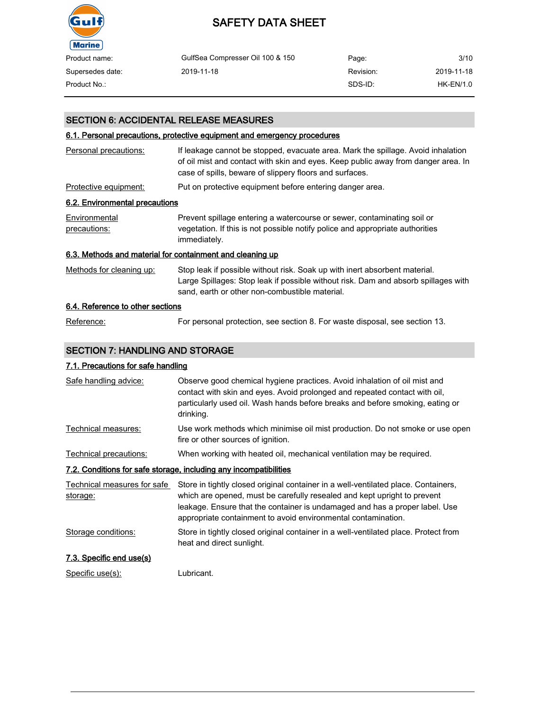

| Product name:    | GulfSea Compresser Oil 100 & 150 | Page:     | 3/10       |
|------------------|----------------------------------|-----------|------------|
| Supersedes date: | 2019-11-18                       | Revision: | 2019-11-18 |
| Product No.:     |                                  | SDS-ID:   | HK-EN/1.0  |

# SECTION 6: ACCIDENTAL RELEASE MEASURES

# 6.1. Personal precautions, protective equipment and emergency procedures

| Personal precautions:                                     | If leakage cannot be stopped, evacuate area. Mark the spillage. Avoid inhalation<br>of oil mist and contact with skin and eyes. Keep public away from danger area. In                                              |
|-----------------------------------------------------------|--------------------------------------------------------------------------------------------------------------------------------------------------------------------------------------------------------------------|
|                                                           | case of spills, beware of slippery floors and surfaces.                                                                                                                                                            |
| Protective equipment:                                     | Put on protective equipment before entering danger area.                                                                                                                                                           |
| 6.2. Environmental precautions                            |                                                                                                                                                                                                                    |
| Environmental<br>precautions:                             | Prevent spillage entering a watercourse or sewer, contaminating soil or<br>vegetation. If this is not possible notify police and appropriate authorities<br>immediately.                                           |
| 6.3. Methods and material for containment and cleaning up |                                                                                                                                                                                                                    |
| Methods for cleaning up:                                  | Stop leak if possible without risk. Soak up with inert absorbent material.<br>Large Spillages: Stop leak if possible without risk. Dam and absorb spillages with<br>sand, earth or other non-combustible material. |
| 6.4. Reference to other sections                          |                                                                                                                                                                                                                    |

Reference: For personal protection, see section 8. For waste disposal, see section 13.

# SECTION 7: HANDLING AND STORAGE

# 7.1. Precautions for safe handling

| Safe handling advice:                   | Observe good chemical hygiene practices. Avoid inhalation of oil mist and<br>contact with skin and eyes. Avoid prolonged and repeated contact with oil,<br>particularly used oil. Wash hands before breaks and before smoking, eating or<br>drinking.                                                          |
|-----------------------------------------|----------------------------------------------------------------------------------------------------------------------------------------------------------------------------------------------------------------------------------------------------------------------------------------------------------------|
| Technical measures:                     | Use work methods which minimise oil mist production. Do not smoke or use open<br>fire or other sources of ignition.                                                                                                                                                                                            |
| Technical precautions:                  | When working with heated oil, mechanical ventilation may be required.                                                                                                                                                                                                                                          |
|                                         | 7.2. Conditions for safe storage, including any incompatibilities                                                                                                                                                                                                                                              |
| Technical measures for safe<br>storage: | Store in tightly closed original container in a well-ventilated place. Containers,<br>which are opened, must be carefully resealed and kept upright to prevent<br>leakage. Ensure that the container is undamaged and has a proper label. Use<br>appropriate containment to avoid environmental contamination. |
| Storage conditions:                     | Store in tightly closed original container in a well-ventilated place. Protect from<br>heat and direct sunlight.                                                                                                                                                                                               |
| 7.3. Specific end use(s)                |                                                                                                                                                                                                                                                                                                                |
| Specific use(s):                        | Lubricant.                                                                                                                                                                                                                                                                                                     |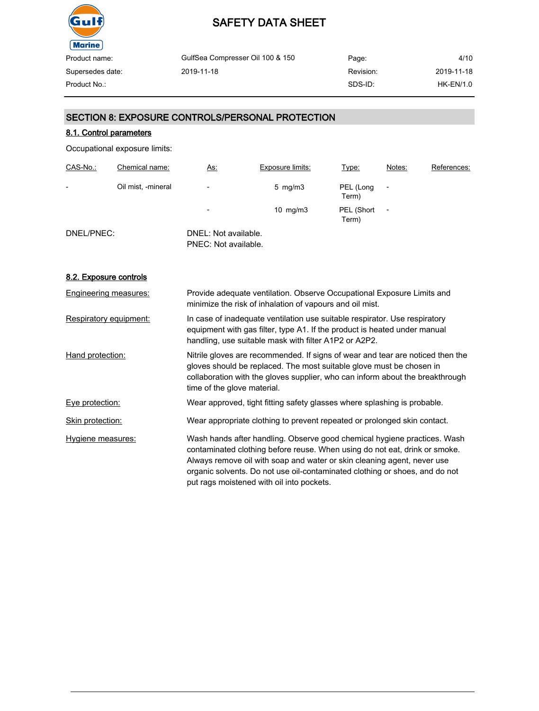

GulfSea Compresser Oil 100 & 150 2019-11-18 Page: Revision: SDS-ID: 4/10 2019-11-18 Product No.: HK-EN/1.0

SECTION 8: EXPOSURE CONTROLS/PERSONAL PROTECTION

# 8.1. Control parameters

Occupational exposure limits:

| CAS-No.:   | Chemical name:     | <u>As:</u>                                   | Exposure limits:   | Type:               | Notes:          | References: |
|------------|--------------------|----------------------------------------------|--------------------|---------------------|-----------------|-------------|
| -          | Oil mist, -mineral | $\overline{\phantom{0}}$                     | $5 \,$ mg/m $3 \,$ | PEL (Long<br>Term)  |                 |             |
|            |                    | $\overline{\phantom{a}}$                     | $10 \text{ mg/m}$  | PEL (Short<br>Term) | $\qquad \qquad$ |             |
| DNEL/PNEC: |                    | DNEL: Not available.<br>PNEC: Not available. |                    |                     |                 |             |

# 8.2. Exposure controls

| Engineering measures:  | Provide adequate ventilation. Observe Occupational Exposure Limits and<br>minimize the risk of inhalation of vapours and oil mist.                                                                                                                                                                                                                            |
|------------------------|---------------------------------------------------------------------------------------------------------------------------------------------------------------------------------------------------------------------------------------------------------------------------------------------------------------------------------------------------------------|
| Respiratory equipment: | In case of inadequate ventilation use suitable respirator. Use respiratory<br>equipment with gas filter, type A1. If the product is heated under manual<br>handling, use suitable mask with filter A1P2 or A2P2.                                                                                                                                              |
| Hand protection:       | Nitrile gloves are recommended. If signs of wear and tear are noticed then the<br>gloves should be replaced. The most suitable glove must be chosen in<br>collaboration with the gloves supplier, who can inform about the breakthrough<br>time of the glove material.                                                                                        |
| Eye protection:        | Wear approved, tight fitting safety glasses where splashing is probable.                                                                                                                                                                                                                                                                                      |
| Skin protection:       | Wear appropriate clothing to prevent repeated or prolonged skin contact.                                                                                                                                                                                                                                                                                      |
| Hygiene measures:      | Wash hands after handling. Observe good chemical hygiene practices. Wash<br>contaminated clothing before reuse. When using do not eat, drink or smoke.<br>Always remove oil with soap and water or skin cleaning agent, never use<br>organic solvents. Do not use oil-contaminated clothing or shoes, and do not<br>put rags moistened with oil into pockets. |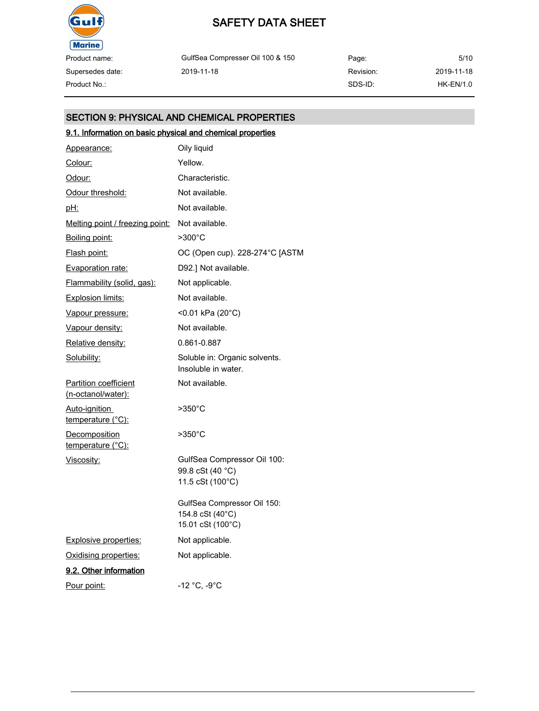

Supersedes date:

# SAFETY DATA SHEET

GulfSea Compresser Oil 100 & 150 2019-11-18

Page: Revision: SDS-ID: 5/10 2019-11-18 Product No.: HK-EN/1.0

# SECTION 9: PHYSICAL AND CHEMICAL PROPERTIES

# 9.1. Information on basic physical and chemical properties

| Appearance:                                        | Oily liquid                                                          |
|----------------------------------------------------|----------------------------------------------------------------------|
| Colour:                                            | Yellow.                                                              |
| Odour:                                             | Characteristic.                                                      |
| Odour threshold:                                   | Not available.                                                       |
| <u>pH:</u>                                         | Not available.                                                       |
| Melting point / freezing point:                    | Not available.                                                       |
| Boiling point:                                     | $>300^{\circ}$ C                                                     |
| Flash point:                                       | OC (Open cup). 228-274°C [ASTM                                       |
| Evaporation rate:                                  | D92.] Not available.                                                 |
| Flammability (solid, gas):                         | Not applicable.                                                      |
| <b>Explosion limits:</b>                           | Not available.                                                       |
| <u>Vapour pressure:</u>                            | <0.01 kPa (20°C)                                                     |
| Vapour density:                                    | Not available.                                                       |
| Relative density:                                  | 0.861-0.887                                                          |
| Solubility:                                        | Soluble in: Organic solvents.<br>Insoluble in water.                 |
| <b>Partition coefficient</b><br>(n-octanol/water): | Not available.                                                       |
| Auto-ignition<br>temperature (°C):                 | $>350^{\circ}$ C                                                     |
| Decomposition<br>temperature (°C):                 | $>350^{\circ}$ C                                                     |
| Viscosity:                                         | GulfSea Compressor Oil 100:<br>99.8 cSt (40 °C)<br>11.5 cSt (100°C)  |
|                                                    | GulfSea Compressor Oil 150:<br>154.8 cSt (40°C)<br>15.01 cSt (100°C) |
| <b>Explosive properties:</b>                       | Not applicable.                                                      |
| Oxidising properties:                              | Not applicable.                                                      |
| 9.2. Other information                             |                                                                      |
| Pour point:                                        | -12 °C, -9°C                                                         |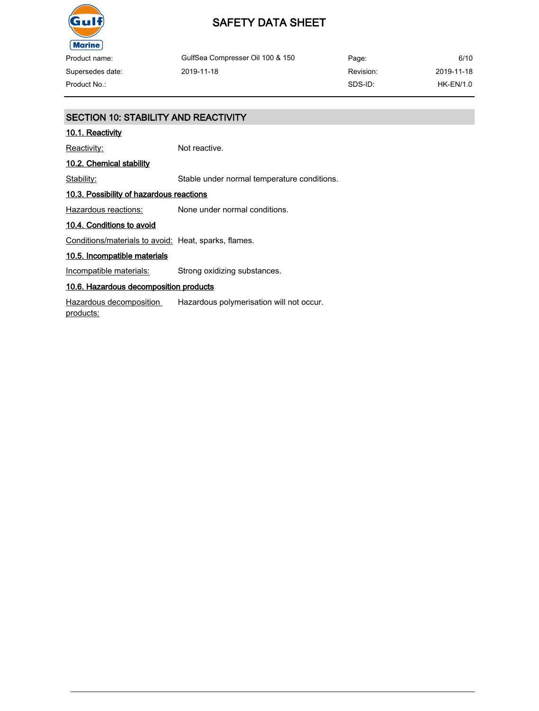

GulfSea Compresser Oil 100 & 150 2019-11-18

Page: Revision: SDS-ID: 6/10 2019-11-18 Product No.: HK-EN/1.0

# SECTION 10: STABILITY AND REACTIVITY

# 10.1. Reactivity

Supersedes date:

Reactivity: Not reactive.

# 10.2. Chemical stability

Stability: Stable under normal temperature conditions.

# 10.3. Possibility of hazardous reactions

Hazardous reactions: None under normal conditions.

#### 10.4. Conditions to avoid

Conditions/materials to avoid: Heat, sparks, flames.

# 10.5. Incompatible materials

Incompatible materials: Strong oxidizing substances.

# 10.6. Hazardous decomposition products

Hazardous decomposition products: Hazardous polymerisation will not occur.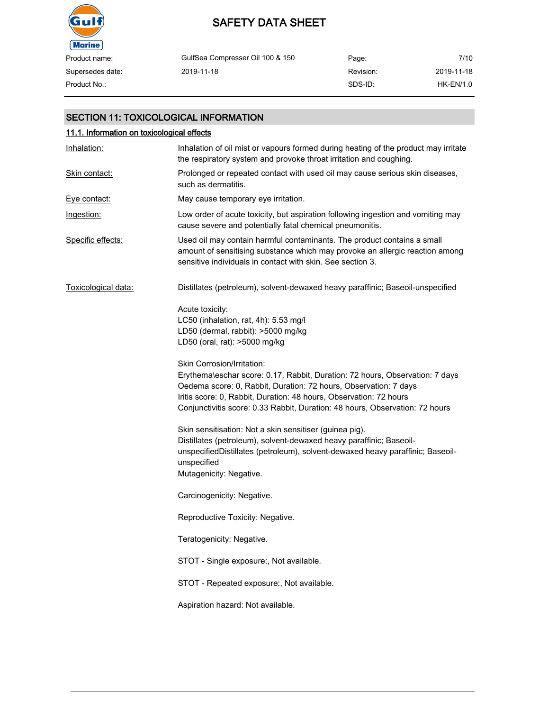

# SAFETY DATA SHEET

| Product name:    | GulfSea Compresser Oil 100 & 150 | Page:     | 7/10        |
|------------------|----------------------------------|-----------|-------------|
| Supersedes date: | 2019-11-18                       | Revision: | 2019-11-18  |
| Product No.:     |                                  | SDS-ID:   | $HK-EN/1.0$ |

# SECTION 11: TOXICOLOGICAL INFORMATION

# 11.1. Information on toxicological effects Inhalation: Inhalation of oil mist or vapours formed during heating of the product may irritate the respiratory system and provoke throat irritation and coughing. Skin contact: Prolonged or repeated contact with used oil may cause serious skin diseases, such as dermatitis. Eye contact: May cause temporary eye irritation. Ingestion: Low order of acute toxicity, but aspiration following ingestion and vomiting may cause severe and potentially fatal chemical pneumonitis. Specific effects: Used oil may contain harmful contaminants. The product contains a small amount of sensitising substance which may provoke an allergic reaction among sensitive individuals in contact with skin. See section 3. Toxicological data: Distillates (petroleum), solvent-dewaxed heavy paraffinic; Baseoil-unspecified Acute toxicity: LC50 (inhalation, rat, 4h): 5.53 mg/l LD50 (dermal, rabbit): >5000 mg/kg LD50 (oral, rat): >5000 mg/kg Skin Corrosion/Irritation: Erythema\eschar score: 0.17, Rabbit, Duration: 72 hours, Observation: 7 days Oedema score: 0, Rabbit, Duration: 72 hours, Observation: 7 days Iritis score: 0, Rabbit, Duration: 48 hours, Observation: 72 hours Conjunctivitis score: 0.33 Rabbit, Duration: 48 hours, Observation: 72 hours Skin sensitisation: Not a skin sensitiser (guinea pig). Distillates (petroleum), solvent-dewaxed heavy paraffinic; BaseoilunspecifiedDistillates (petroleum), solvent-dewaxed heavy paraffinic; Baseoilunspecified Mutagenicity: Negative. Carcinogenicity: Negative. Reproductive Toxicity: Negative. Teratogenicity: Negative. STOT - Single exposure:, Not available. STOT - Repeated exposure:, Not available. Aspiration hazard: Not available.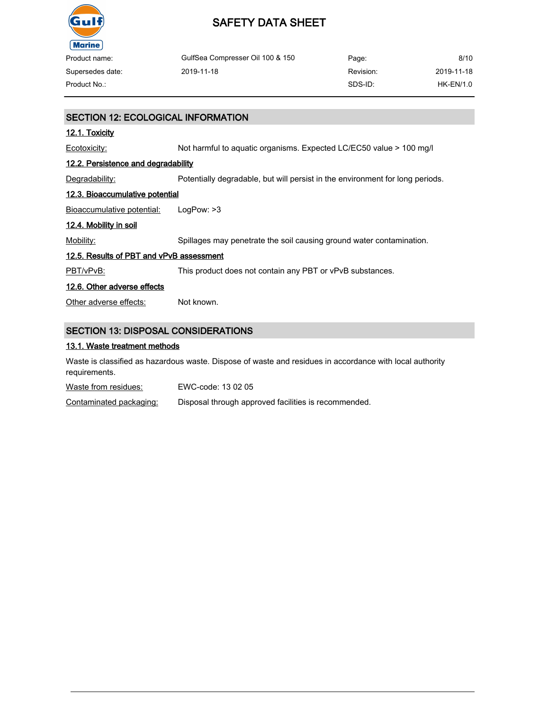

| Product name:    | GulfSea Compresser Oil 100 & 150 | Page:     | 8/10        |
|------------------|----------------------------------|-----------|-------------|
| Supersedes date: | 2019-11-18                       | Revision: | 2019-11-18  |
| Product No.:     |                                  | SDS-ID:   | $HK-EN/1.0$ |

| SECTION 12: ECOLOGICAL INFORMATION         |                                                                               |  |
|--------------------------------------------|-------------------------------------------------------------------------------|--|
| <u>12.1. Toxicity</u>                      |                                                                               |  |
| Ecotoxicity:                               | Not harmful to aquatic organisms. Expected LC/EC50 value > 100 mg/l           |  |
| 12.2. Persistence and degradability        |                                                                               |  |
| Degradability:                             | Potentially degradable, but will persist in the environment for long periods. |  |
| 12.3. Bioaccumulative potential            |                                                                               |  |
| <b>Bioaccumulative potential:</b>          | LogPow: >3                                                                    |  |
| <u>12.4. Mobility in soil</u>              |                                                                               |  |
| Mobility:                                  | Spillages may penetrate the soil causing ground water contamination.          |  |
| 12.5. Results of PBT and vPvB assessment   |                                                                               |  |
| PBT/vPvB:                                  | This product does not contain any PBT or vPvB substances.                     |  |
| 12.6. Other adverse effects                |                                                                               |  |
| Other adverse effects:                     | Not known.                                                                    |  |
|                                            |                                                                               |  |
| <b>SECTION 13: DISPOSAL CONSIDERATIONS</b> |                                                                               |  |

# 13.1. Waste treatment methods

Waste is classified as hazardous waste. Dispose of waste and residues in accordance with local authority requirements.

Waste from residues: EWC-code: 13 02 05

Contaminated packaging: Disposal through approved facilities is recommended.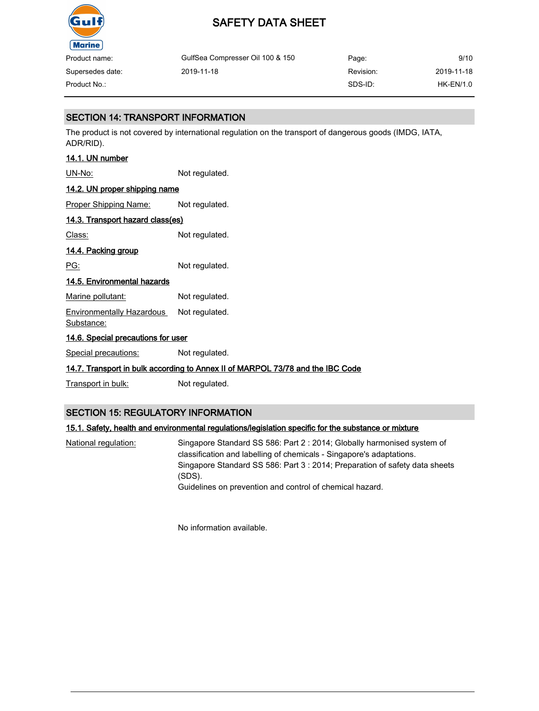

Supersedes date:

# SAFETY DATA SHEET

GulfSea Compresser Oil 100 & 150 2019-11-18 Page: Revision: SDS-ID: 9/10 2019-11-18 Product No.: HK-EN/1.0

# SECTION 14: TRANSPORT INFORMATION

The product is not covered by international regulation on the transport of dangerous goods (IMDG, IATA, ADR/RID).

# 14.1. UN number

UN-No: Not regulated.

# 14.2. UN proper shipping name

Proper Shipping Name: Not regulated.

# 14.3. Transport hazard class(es)

Class: Not regulated.

# 14.4. Packing group

PG: Not regulated.

# 14.5. Environmental hazards

Marine pollutant: Not regulated.

Environmentally Hazardous Substance: Not regulated.

# 14.6. Special precautions for user

Special precautions: Not regulated.

# 14.7. Transport in bulk according to Annex II of MARPOL 73/78 and the IBC Code

Transport in bulk: Not regulated.

# SECTION 15: REGULATORY INFORMATION

# 15.1. Safety, health and environmental regulations/legislation specific for the substance or mixture

National regulation: Singapore Standard SS 586: Part 2 : 2014; Globally harmonised system of classification and labelling of chemicals - Singapore's adaptations. Singapore Standard SS 586: Part 3 : 2014; Preparation of safety data sheets (SDS). Guidelines on prevention and control of chemical hazard.

No information available.